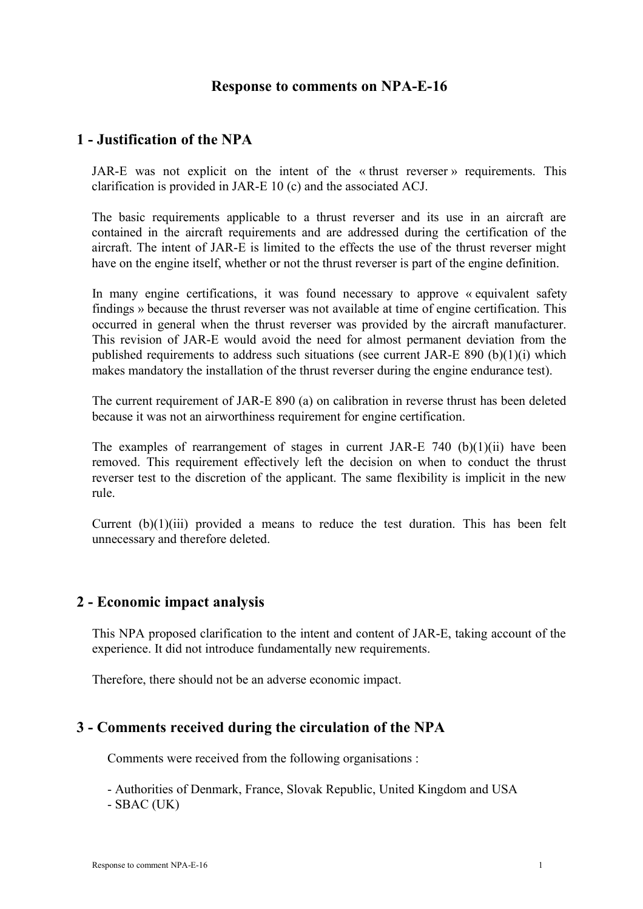## **Response to comments on NPA-E-16**

# **1 - Justification of the NPA**

JAR-E was not explicit on the intent of the « thrust reverser » requirements. This clarification is provided in JAR-E 10 (c) and the associated ACJ.

The basic requirements applicable to a thrust reverser and its use in an aircraft are contained in the aircraft requirements and are addressed during the certification of the aircraft. The intent of JAR-E is limited to the effects the use of the thrust reverser might have on the engine itself, whether or not the thrust reverser is part of the engine definition.

In many engine certifications, it was found necessary to approve « equivalent safety findings » because the thrust reverser was not available at time of engine certification. This occurred in general when the thrust reverser was provided by the aircraft manufacturer. This revision of JAR-E would avoid the need for almost permanent deviation from the published requirements to address such situations (see current JAR-E 890 (b)(1)(i) which makes mandatory the installation of the thrust reverser during the engine endurance test).

The current requirement of JAR-E 890 (a) on calibration in reverse thrust has been deleted because it was not an airworthiness requirement for engine certification.

The examples of rearrangement of stages in current JAR-E 740 (b)(1)(ii) have been removed. This requirement effectively left the decision on when to conduct the thrust reverser test to the discretion of the applicant. The same flexibility is implicit in the new rule.

Current  $(b)(1)(iii)$  provided a means to reduce the test duration. This has been felt unnecessary and therefore deleted.

## **2 - Economic impact analysis**

This NPA proposed clarification to the intent and content of JAR-E, taking account of the experience. It did not introduce fundamentally new requirements.

Therefore, there should not be an adverse economic impact.

#### **3 - Comments received during the circulation of the NPA**

Comments were received from the following organisations :

- Authorities of Denmark, France, Slovak Republic, United Kingdom and USA - SBAC (UK)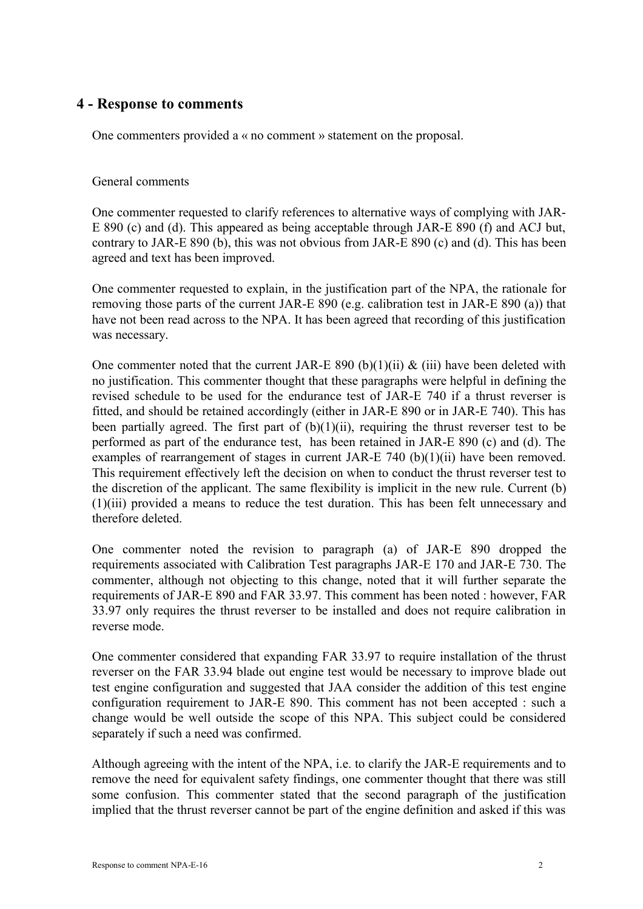# **4 - Response to comments**

One commenters provided a « no comment » statement on the proposal.

### General comments

One commenter requested to clarify references to alternative ways of complying with JAR-E 890 (c) and (d). This appeared as being acceptable through JAR-E 890 (f) and ACJ but, contrary to JAR-E 890 (b), this was not obvious from JAR-E 890 (c) and (d). This has been agreed and text has been improved.

One commenter requested to explain, in the justification part of the NPA, the rationale for removing those parts of the current JAR-E 890 (e.g. calibration test in JAR-E 890 (a)) that have not been read across to the NPA. It has been agreed that recording of this justification was necessary.

One commenter noted that the current JAR-E 890 (b)(1)(ii)  $\&$  (iii) have been deleted with no justification. This commenter thought that these paragraphs were helpful in defining the revised schedule to be used for the endurance test of JAR-E 740 if a thrust reverser is fitted, and should be retained accordingly (either in JAR-E 890 or in JAR-E 740). This has been partially agreed. The first part of  $(b)(1)(ii)$ , requiring the thrust reverser test to be performed as part of the endurance test, has been retained in JAR-E 890 (c) and (d). The examples of rearrangement of stages in current JAR-E 740 (b)(1)(ii) have been removed. This requirement effectively left the decision on when to conduct the thrust reverser test to the discretion of the applicant. The same flexibility is implicit in the new rule. Current (b) (1)(iii) provided a means to reduce the test duration. This has been felt unnecessary and therefore deleted.

One commenter noted the revision to paragraph (a) of JAR-E 890 dropped the requirements associated with Calibration Test paragraphs JAR-E 170 and JAR-E 730. The commenter, although not objecting to this change, noted that it will further separate the requirements of JAR-E 890 and FAR 33.97. This comment has been noted : however, FAR 33.97 only requires the thrust reverser to be installed and does not require calibration in reverse mode.

One commenter considered that expanding FAR 33.97 to require installation of the thrust reverser on the FAR 33.94 blade out engine test would be necessary to improve blade out test engine configuration and suggested that JAA consider the addition of this test engine configuration requirement to JAR-E 890. This comment has not been accepted : such a change would be well outside the scope of this NPA. This subject could be considered separately if such a need was confirmed.

Although agreeing with the intent of the NPA, i.e. to clarify the JAR-E requirements and to remove the need for equivalent safety findings, one commenter thought that there was still some confusion. This commenter stated that the second paragraph of the justification implied that the thrust reverser cannot be part of the engine definition and asked if this was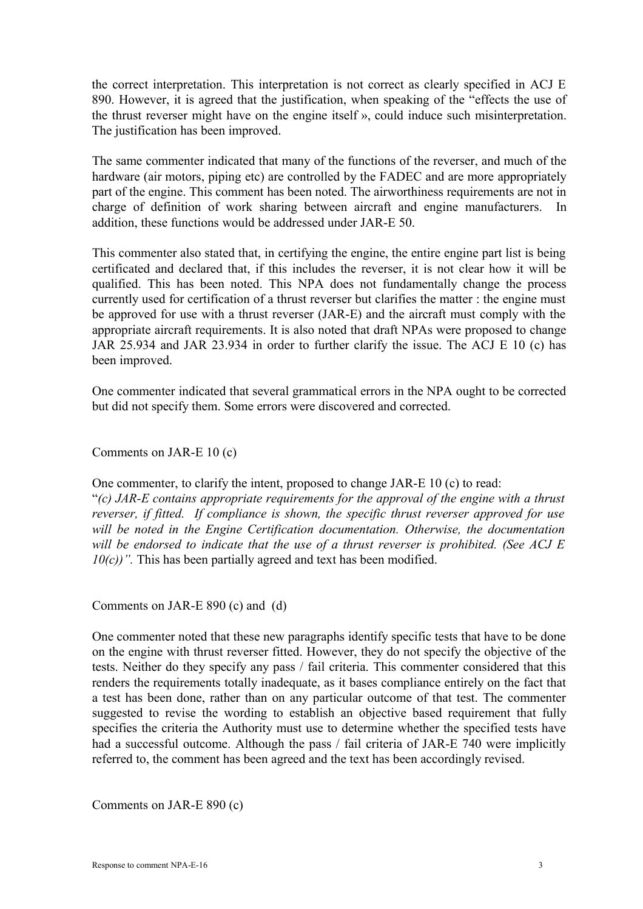the correct interpretation. This interpretation is not correct as clearly specified in ACJ E 890. However, it is agreed that the justification, when speaking of the "effects the use of the thrust reverser might have on the engine itself », could induce such misinterpretation. The justification has been improved.

The same commenter indicated that many of the functions of the reverser, and much of the hardware (air motors, piping etc) are controlled by the FADEC and are more appropriately part of the engine. This comment has been noted. The airworthiness requirements are not in charge of definition of work sharing between aircraft and engine manufacturers. In addition, these functions would be addressed under JAR-E 50.

This commenter also stated that, in certifying the engine, the entire engine part list is being certificated and declared that, if this includes the reverser, it is not clear how it will be qualified. This has been noted. This NPA does not fundamentally change the process currently used for certification of a thrust reverser but clarifies the matter : the engine must be approved for use with a thrust reverser (JAR-E) and the aircraft must comply with the appropriate aircraft requirements. It is also noted that draft NPAs were proposed to change JAR 25.934 and JAR 23.934 in order to further clarify the issue. The ACJ E 10 (c) has been improved.

One commenter indicated that several grammatical errors in the NPA ought to be corrected but did not specify them. Some errors were discovered and corrected.

Comments on JAR-E 10 (c)

One commenter, to clarify the intent, proposed to change JAR-E 10 (c) to read:

"*(c) JAR-E contains appropriate requirements for the approval of the engine with a thrust reverser, if fitted. If compliance is shown, the specific thrust reverser approved for use will be noted in the Engine Certification documentation. Otherwise, the documentation will be endorsed to indicate that the use of a thrust reverser is prohibited. (See ACJ E 10(c))*". This has been partially agreed and text has been modified.

Comments on JAR-E 890 (c) and (d)

One commenter noted that these new paragraphs identify specific tests that have to be done on the engine with thrust reverser fitted. However, they do not specify the objective of the tests. Neither do they specify any pass / fail criteria. This commenter considered that this renders the requirements totally inadequate, as it bases compliance entirely on the fact that a test has been done, rather than on any particular outcome of that test. The commenter suggested to revise the wording to establish an objective based requirement that fully specifies the criteria the Authority must use to determine whether the specified tests have had a successful outcome. Although the pass / fail criteria of JAR-E 740 were implicitly referred to, the comment has been agreed and the text has been accordingly revised.

Comments on JAR-E 890 (c)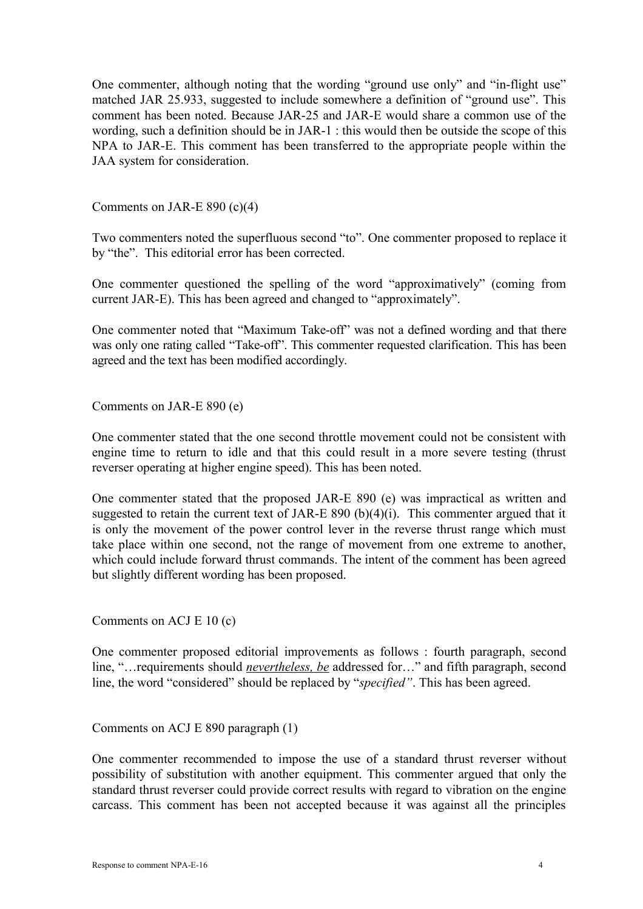One commenter, although noting that the wording "ground use only" and "in-flight use" matched JAR 25.933, suggested to include somewhere a definition of "ground use". This comment has been noted. Because JAR-25 and JAR-E would share a common use of the wording, such a definition should be in JAR-1 : this would then be outside the scope of this NPA to JAR-E. This comment has been transferred to the appropriate people within the JAA system for consideration.

Comments on JAR-E 890 (c)(4)

Two commenters noted the superfluous second "to". One commenter proposed to replace it by "the". This editorial error has been corrected.

One commenter questioned the spelling of the word "approximatively" (coming from current JAR-E). This has been agreed and changed to "approximately".

One commenter noted that "Maximum Take-off" was not a defined wording and that there was only one rating called "Take-off". This commenter requested clarification. This has been agreed and the text has been modified accordingly.

Comments on JAR-E 890 (e)

One commenter stated that the one second throttle movement could not be consistent with engine time to return to idle and that this could result in a more severe testing (thrust reverser operating at higher engine speed). This has been noted.

One commenter stated that the proposed JAR-E 890 (e) was impractical as written and suggested to retain the current text of JAR-E 890 (b) $(4)(i)$ . This commenter argued that it is only the movement of the power control lever in the reverse thrust range which must take place within one second, not the range of movement from one extreme to another, which could include forward thrust commands. The intent of the comment has been agreed but slightly different wording has been proposed.

Comments on ACJ E 10 (c)

One commenter proposed editorial improvements as follows : fourth paragraph, second line, "…requirements should *nevertheless, be* addressed for…" and fifth paragraph, second line, the word "considered" should be replaced by "*specified"*. This has been agreed.

Comments on ACJ E 890 paragraph (1)

One commenter recommended to impose the use of a standard thrust reverser without possibility of substitution with another equipment. This commenter argued that only the standard thrust reverser could provide correct results with regard to vibration on the engine carcass. This comment has been not accepted because it was against all the principles